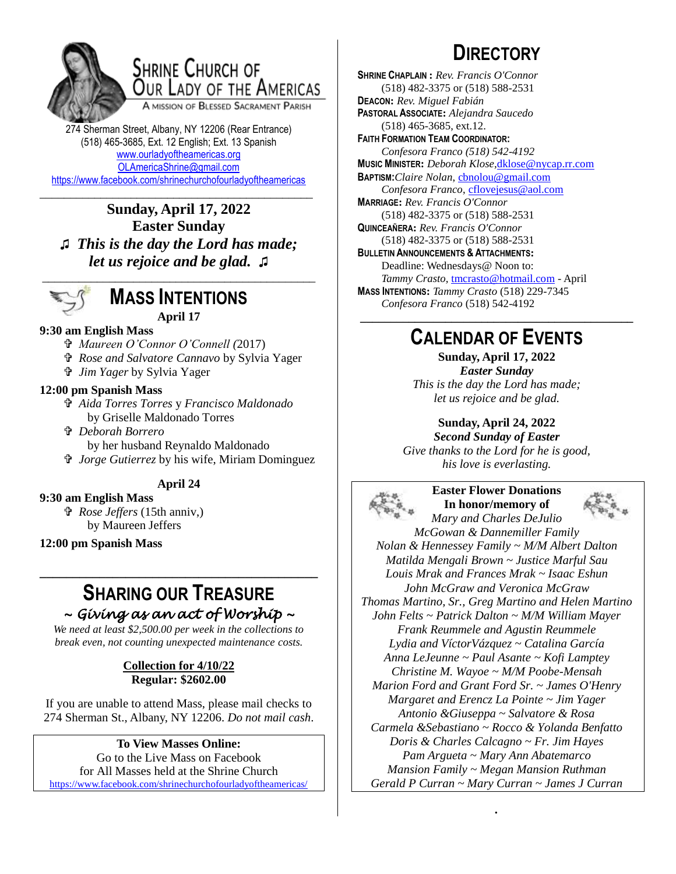

## **SHRINE CHURCH OF** OUR LADY OF THE AMERICAS

A MISSION OF BLESSED SACRAMENT PARISH

274 Sherman Street, Albany, NY 12206 (Rear Entrance) (518) 465-3685, Ext. 12 English; Ext. 13 Spanish [www.ourladyoftheamericas.org](http://www.ourladyoftheamericas.org/) [OLAmericaShrine@gmail.com](mailto:OLAmericaShrine@gmail.com) <https://www.facebook.com/shrinechurchofourladyoftheamericas>

\_\_\_\_\_\_\_\_\_\_\_\_\_\_\_\_\_\_\_\_\_\_\_\_\_\_\_\_\_\_\_\_\_\_\_\_\_\_\_\_\_\_\_\_\_ **Sunday, April 17, 2022 Easter Sunday ♫** *This is the day the Lord has made; let us rejoice and be glad.* **♫**



### **MASS INTENTIONS April 17**

#### **9:30 am English Mass**

- *Maureen O'Connor O'Connell (*2017)
- *Rose and Salvatore Cannavo* by Sylvia Yager
- *Jim Yager* by Sylvia Yager

#### **12:00 pm Spanish Mass**

 *Aida Torres Torres* y *Francisco Maldonado* by Griselle Maldonado Torres

 *Deborah Borrero*

by her husband Reynaldo Maldonado

 *Jorge Gutierrez* by his wife, Miriam Dominguez

#### **April 24**

#### **9:30 am English Mass**

 *Rose Jeffers* (15th anniv,) by Maureen Jeffers

**12:00 pm Spanish Mass**

### **SHARING OUR TREASURE** *~ Giving as an act of Worship ~*

**\_\_\_\_\_\_\_\_\_\_\_\_\_\_\_\_\_\_\_\_\_\_\_\_\_\_\_\_\_\_\_\_\_\_\_\_\_\_\_\_\_\_**

*We need at least \$2,500.00 per week in the collections to break even, not counting unexpected maintenance costs.*

#### **Collection for 4/10/22 Regular: \$2602.00**

If you are unable to attend Mass, please mail checks to 274 Sherman St., Albany, NY 12206. *Do not mail cash*.

#### **To View Masses Online:**

Go to the Live Mass on Facebook for All Masses held at the Shrine Church <https://www.facebook.com/shrinechurchofourladyoftheamericas/>

# **DIRECTORY**

**SHRINE CHAPLAIN :** *Rev. Francis O'Connor* (518) 482-3375 or (518) 588-2531 **DEACON:** *Rev. Miguel Fabián* **PASTORAL ASSOCIATE:** *Alejandra Saucedo* (518) 465-3685, ext.12. **FAITH FORMATION TEAM COORDINATOR:** *Confesora Franco (518) 542-4192* **MUSIC MINISTER:** *Deborah Klose,*[dklose@nycap.rr.com](mailto:dklose@nycap.rr.com) **BAPTISM:***Claire Nolan*, [cbnolou@gmail.com](mailto:cbnolou@gmail.com) *Confesora Franco*, [cflovejesus@aol.com](mailto:cflovejesus@aol.com) **MARRIAGE:** *Rev. Francis O'Connor* (518) 482-3375 or (518) 588-2531 **QUINCEAÑERA:** *Rev. Francis O'Connor* (518) 482-3375 or (518) 588-2531 **BULLETIN ANNOUNCEMENTS & ATTACHMENTS:** Deadline: Wednesdays@ Noon to: *Tammy Crasto,* [tmcrasto@hotmail.com](mailto:tmcrasto@hotmail.com) - April **MASS INTENTIONS:** *Tammy Crasto* (518) 229-7345 *Confesora Franco* (518) 542-4192 **\_\_\_\_\_\_\_\_\_\_\_\_\_\_\_\_\_\_\_\_\_\_\_\_\_\_\_\_\_\_\_\_\_\_\_\_\_\_\_\_\_\_\_\_\_**

## **CALENDAR OF EVENTS**

**Sunday, April 17, 2022** *Easter Sunday This is the day the Lord has made; let us rejoice and be glad.*

**Sunday, April 24, 2022**

*Second Sunday of Easter Give thanks to the Lord for he is good, his love is everlasting.*



**Easter Flower Donations In honor/memory of**



*Mary and Charles DeJulio McGowan & Dannemiller Family Nolan & Hennessey Family ~ M/M Albert Dalton Matilda Mengali Brown ~ Justice Marful Sau Louis Mrak and Frances Mrak ~ Isaac Eshun John McGraw and Veronica McGraw Thomas Martino, Sr., Greg Martino and Helen Martino John Felts ~ Patrick Dalton ~ M/M William Mayer Frank Reummele and Agustin Reummele Lydia and VíctorVázquez ~ Catalina García Anna LeJeunne ~ Paul Asante ~ Kofi Lamptey Christine M. Wayoe ~ M/M Poobe-Mensah Marion Ford and Grant Ford Sr. ~ James O'Henry Margaret and Erencz La Pointe ~ Jim Yager Antonio &Giuseppa ~ Salvatore & Rosa Carmela &Sebastiano ~ Rocco & Yolanda Benfatto Doris & Charles Calcagno ~ Fr. Jim Hayes Pam Argueta ~ Mary Ann Abatemarco Mansion Family ~ Megan Mansion Ruthman Gerald P Curran ~ Mary Curran ~ James J Curran*

*.*